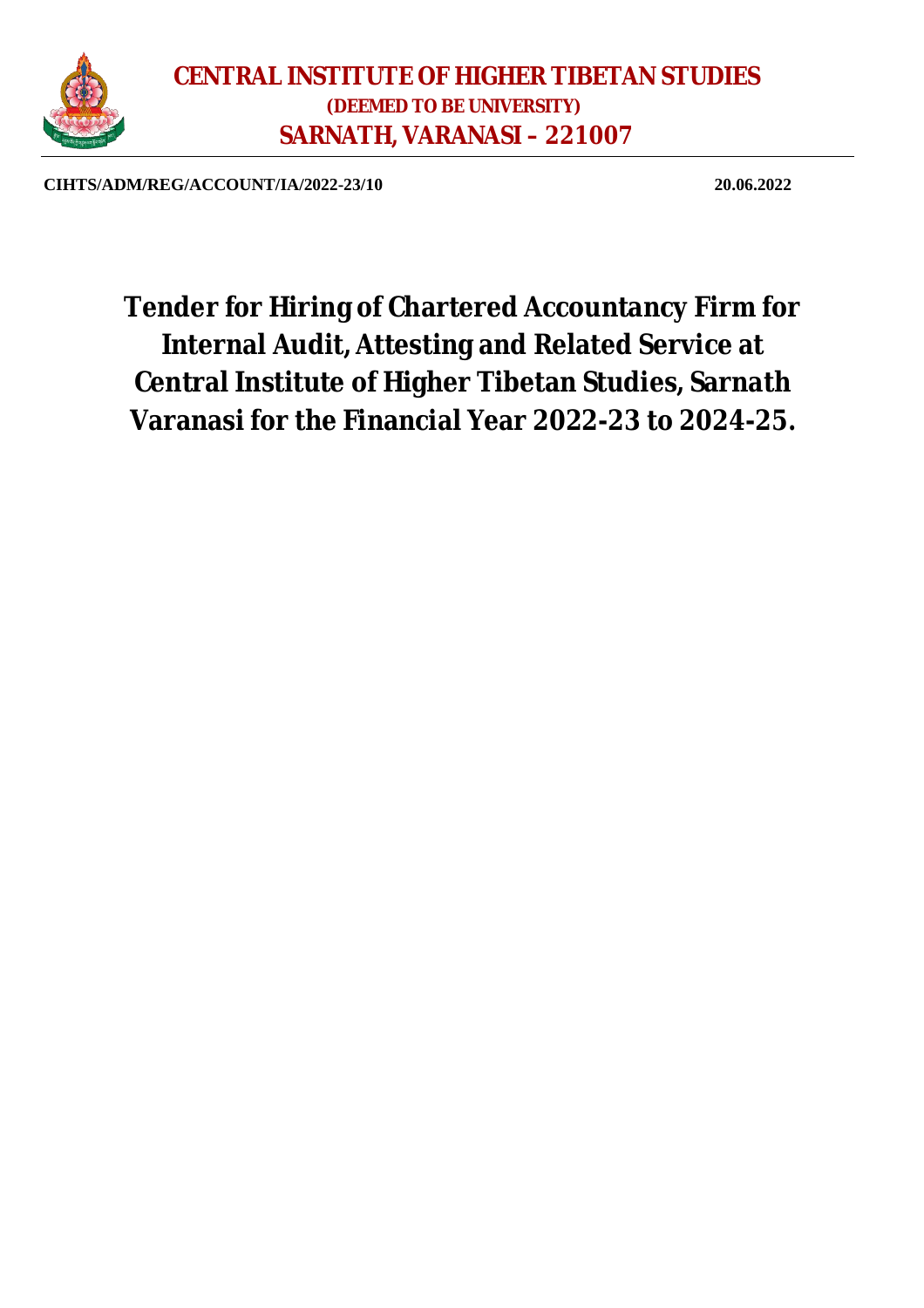

**CIHTS/ADM/REG/ACCOUNT/IA/2022-23/10 20.06.2022**

**Tender for Hiring of Chartered Accountancy Firm for Internal Audit, Attesting and Related Service at Central Institute of Higher Tibetan Studies, Sarnath Varanasi for the Financial Year 2022-23 to 2024-25.**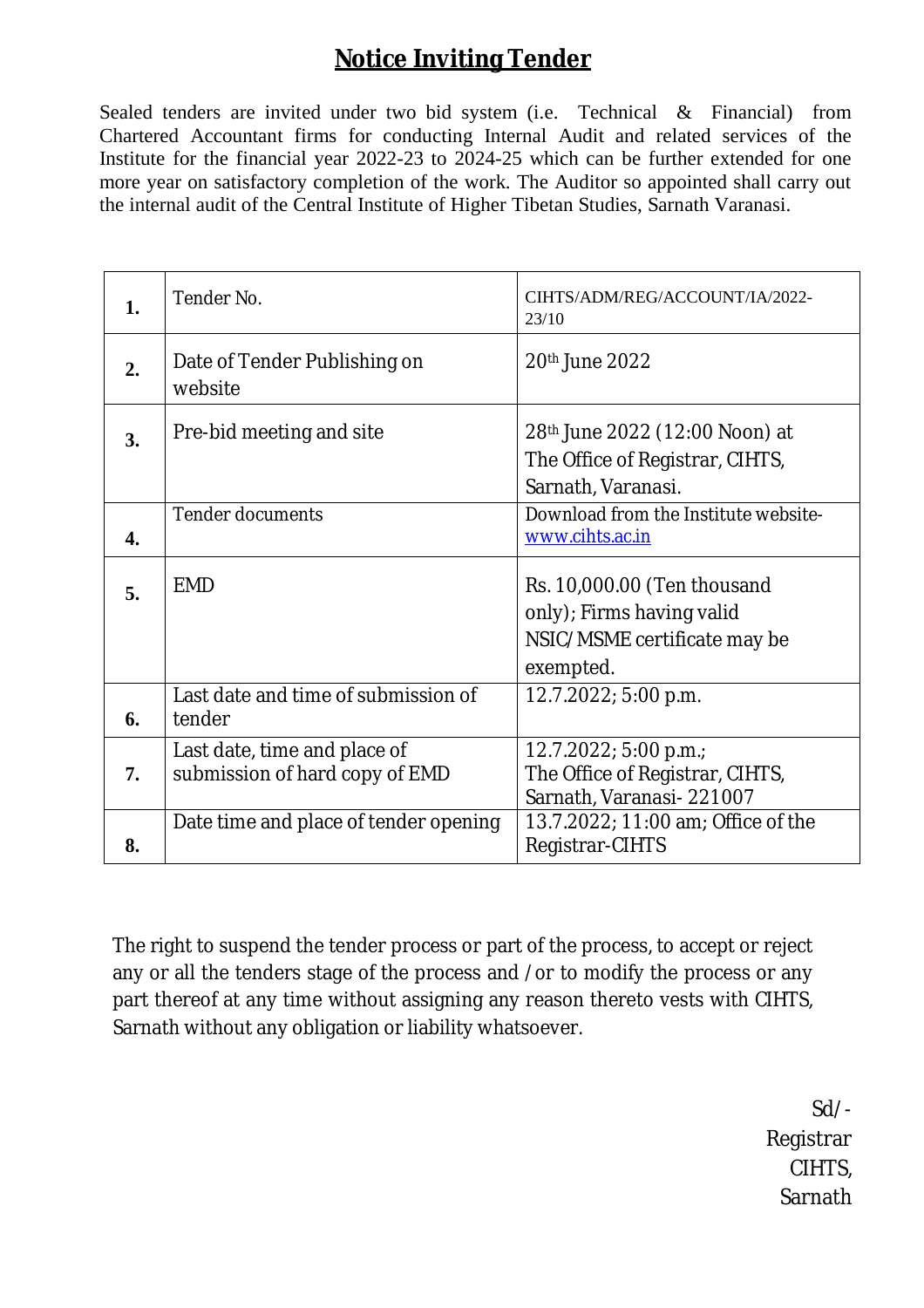# **Notice Inviting Tender**

Sealed tenders are invited under two bid system (i.e. Technical & Financial) from Chartered Accountant firms for conducting Internal Audit and related services of the Institute for the financial year 2022-23 to 2024-25 which can be further extended for one more year on satisfactory completion of the work. The Auditor so appointed shall carry out the internal audit of the Central Institute of Higher Tibetan Studies, Sarnath Varanasi.

| 1. | Tender No.                                                     | CIHTS/ADM/REG/ACCOUNT/IA/2022-<br>23/10                                                               |
|----|----------------------------------------------------------------|-------------------------------------------------------------------------------------------------------|
| 2. | Date of Tender Publishing on<br>website                        | 20th June 2022                                                                                        |
| 3. | Pre-bid meeting and site                                       | 28 <sup>th</sup> June 2022 (12:00 Noon) at<br>The Office of Registrar, CIHTS,<br>Sarnath, Varanasi.   |
| 4. | <b>Tender documents</b>                                        | Download from the Institute website-<br>www.cihts.ac.in                                               |
| 5. | <b>EMD</b>                                                     | Rs. 10,000.00 (Ten thousand<br>only); Firms having valid<br>NSIC/MSME certificate may be<br>exempted. |
| 6. | Last date and time of submission of<br>tender                  | 12.7.2022; 5:00 p.m.                                                                                  |
| 7. | Last date, time and place of<br>submission of hard copy of EMD | $12.7.2022$ ; 5:00 p.m.;<br>The Office of Registrar, CIHTS,<br>Sarnath, Varanasi-221007               |
| 8. | Date time and place of tender opening                          | 13.7.2022; 11:00 am; Office of the<br>Registrar-CIHTS                                                 |

The right to suspend the tender process or part of the process, to accept or reject any or all the tenders stage of the process and /or to modify the process or any part thereof at any time without assigning any reason thereto vests with CIHTS, Sarnath without any obligation or liability whatsoever.

> Sd/- Registrar CIHTS, **Sarnath**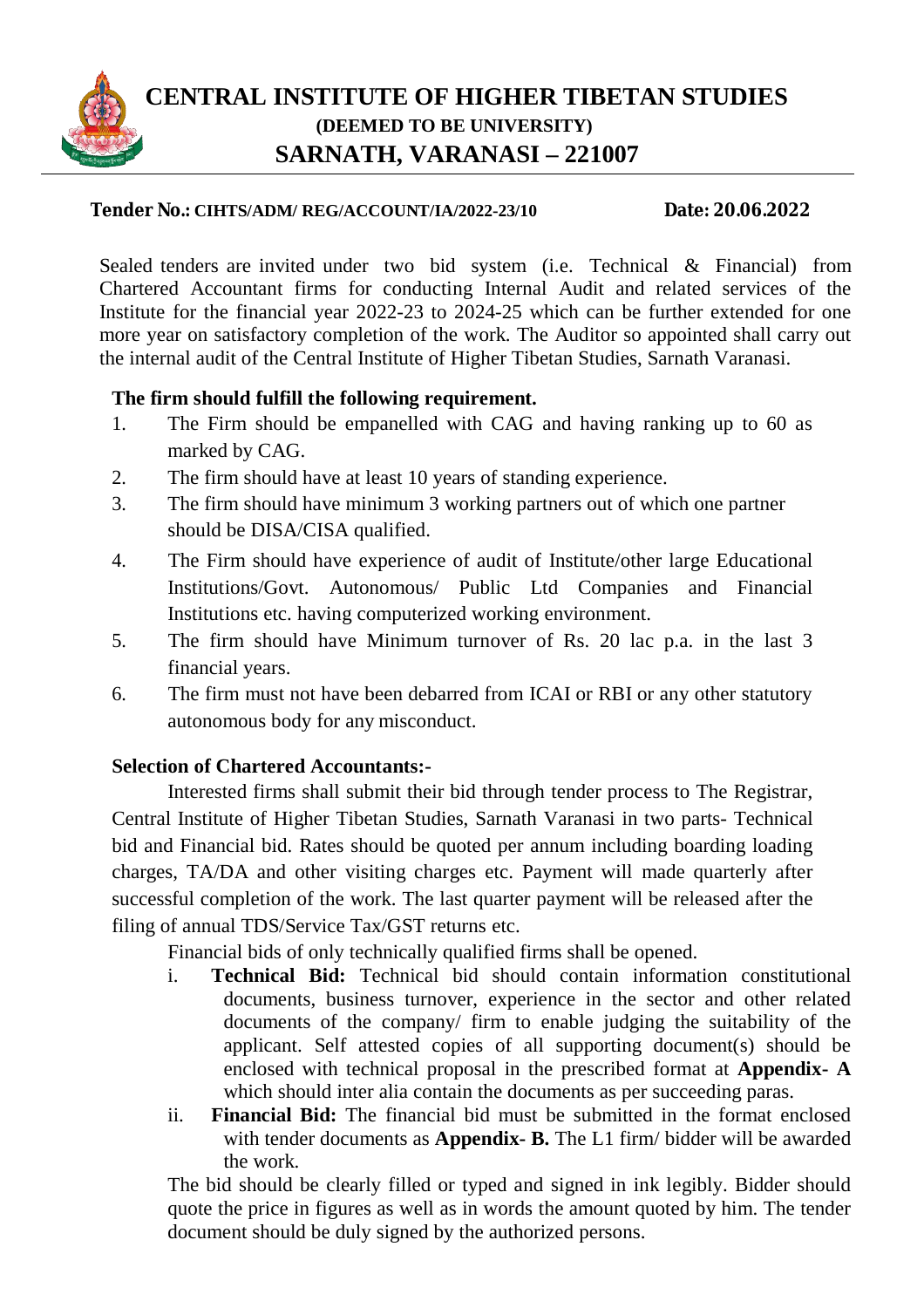

# **CENTRAL INSTITUTE OF HIGHER TIBETAN STUDIES (DEEMED TO BE UNIVERSITY) SARNATH, VARANASI – 221007**

#### **Tender No.: CIHTS/ADM/ REG/ACCOUNT/IA/2022-23/10 Date: 20.06.2022**

Sealed tenders are invited under two bid system (i.e. Technical & Financial) from Chartered Accountant firms for conducting Internal Audit and related services of the Institute for the financial year 2022-23 to 2024-25 which can be further extended for one more year on satisfactory completion of the work. The Auditor so appointed shall carry out the internal audit of the Central Institute of Higher Tibetan Studies, Sarnath Varanasi.

# **The firm should fulfill the following requirement.**

- 1. The Firm should be empanelled with CAG and having ranking up to 60 as marked by CAG.
- 2. The firm should have at least 10 years of standing experience.
- 3. The firm should have minimum 3 working partners out of which one partner should be DISA/CISA qualified.
- 4. The Firm should have experience of audit of Institute/other large Educational Institutions/Govt. Autonomous/ Public Ltd Companies and Financial Institutions etc. having computerized working environment.
- 5. The firm should have Minimum turnover of Rs. 20 lac p.a. in the last 3 financial years.
- 6. The firm must not have been debarred from ICAI or RBI or any other statutory autonomous body for any misconduct.

## **Selection of Chartered Accountants:-**

Interested firms shall submit their bid through tender process to The Registrar, Central Institute of Higher Tibetan Studies, Sarnath Varanasi in two parts- Technical bid and Financial bid. Rates should be quoted per annum including boarding loading charges, TA/DA and other visiting charges etc. Payment will made quarterly after successful completion of the work. The last quarter payment will be released after the filing of annual TDS/Service Tax/GST returns etc.

Financial bids of only technically qualified firms shall be opened.

- i. **Technical Bid:** Technical bid should contain information constitutional documents, business turnover, experience in the sector and other related documents of the company/ firm to enable judging the suitability of the applicant. Self attested copies of all supporting document(s) should be enclosed with technical proposal in the prescribed format at **Appendix- A** which should inter alia contain the documents as per succeeding paras.
- ii. **Financial Bid:** The financial bid must be submitted in the format enclosed with tender documents as **Appendix- B.** The L1 firm/ bidder will be awarded the work.

The bid should be clearly filled or typed and signed in ink legibly. Bidder should quote the price in figures as well as in words the amount quoted by him. The tender document should be duly signed by the authorized persons.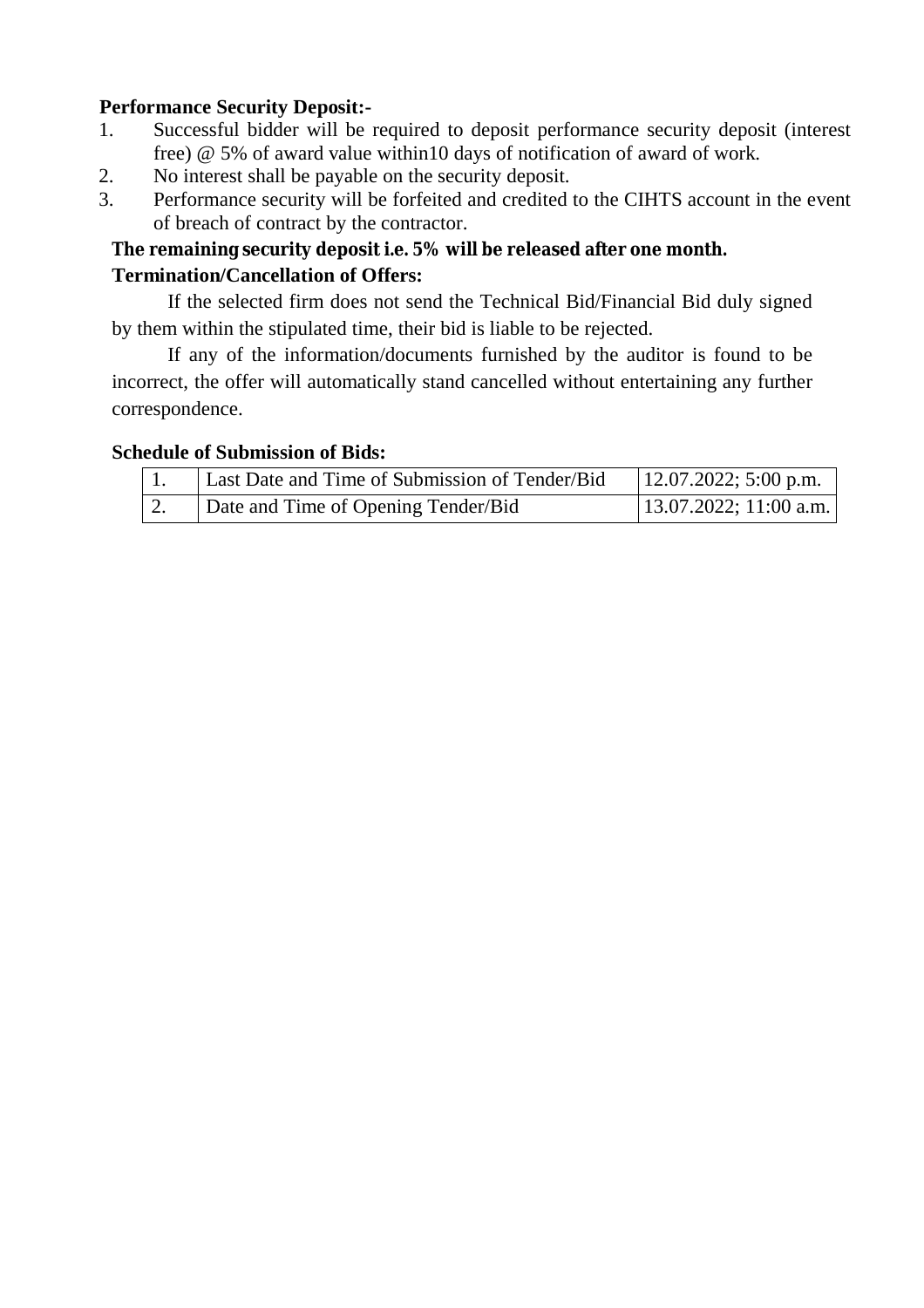# **Performance Security Deposit:-**

- 1. Successful bidder will be required to deposit performance security deposit (interest free) @ 5% of award value within10 days of notification of award of work.
- 2. No interest shall be payable on the security deposit.
- 3. Performance security will be forfeited and credited to the CIHTS account in the event of breach of contract by the contractor.

# **The remaining security deposit i.e. 5% will be released after one month. Termination/Cancellation of Offers:**

If the selected firm does not send the Technical Bid/Financial Bid duly signed by them within the stipulated time, their bid is liable to be rejected.

If any of the information/documents furnished by the auditor is found to be incorrect, the offer will automatically stand cancelled without entertaining any further correspondence.

## **Schedule of Submission of Bids:**

| Last Date and Time of Submission of Tender/Bid | $12.07.2022$ ; 5:00 p.m.  |
|------------------------------------------------|---------------------------|
| Date and Time of Opening Tender/Bid            | $13.07.2022$ ; 11:00 a.m. |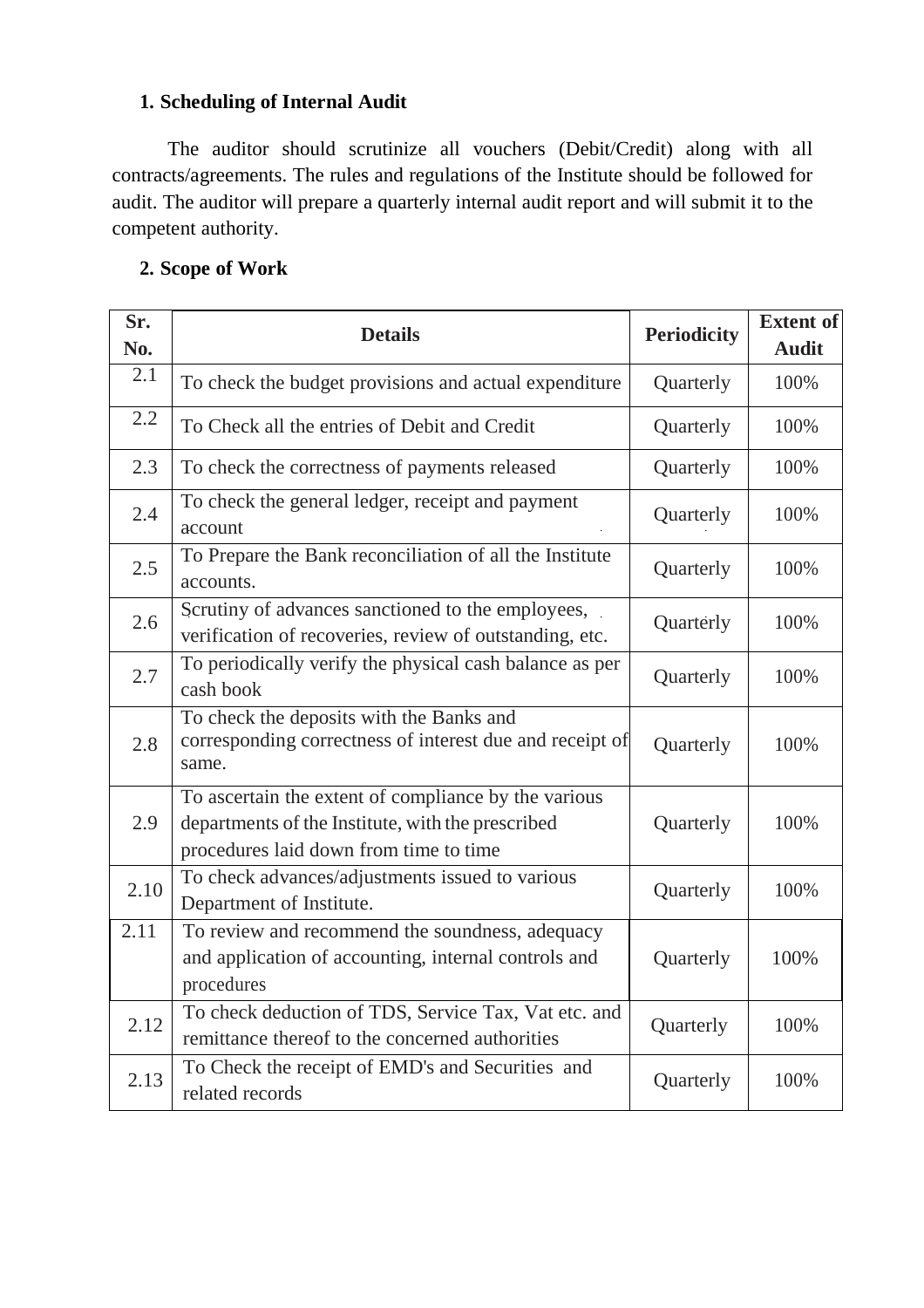# **1. Scheduling of Internal Audit**

The auditor should scrutinize all vouchers (Debit/Credit) along with all contracts/agreements. The rules and regulations of the Institute should be followed for audit. The auditor will prepare a quarterly internal audit report and will submit it to the competent authority.

# **2. Scope of Work**

| Sr.<br>No. | <b>Details</b>                                                                                                                                      | <b>Periodicity</b> | <b>Extent of</b><br><b>Audit</b> |
|------------|-----------------------------------------------------------------------------------------------------------------------------------------------------|--------------------|----------------------------------|
| 2.1        | To check the budget provisions and actual expenditure                                                                                               | Quarterly          | 100%                             |
| 2.2        | To Check all the entries of Debit and Credit                                                                                                        | Quarterly          | 100%                             |
| 2.3        | To check the correctness of payments released                                                                                                       | Quarterly          | 100%                             |
| 2.4        | To check the general ledger, receipt and payment<br>account                                                                                         | Quarterly          | 100%                             |
| 2.5        | To Prepare the Bank reconciliation of all the Institute<br>accounts.                                                                                | Quarterly          | 100%                             |
| 2.6        | Scrutiny of advances sanctioned to the employees,<br>verification of recoveries, review of outstanding, etc.                                        | Quarterly          | 100%                             |
| 2.7        | To periodically verify the physical cash balance as per<br>cash book                                                                                | Quarterly          | 100%                             |
| 2.8        | To check the deposits with the Banks and<br>corresponding correctness of interest due and receipt of<br>same.                                       | Quarterly          | 100%                             |
| 2.9        | To ascertain the extent of compliance by the various<br>departments of the Institute, with the prescribed<br>procedures laid down from time to time | Quarterly          | 100%                             |
| 2.10       | To check advances/adjustments issued to various<br>Department of Institute.                                                                         | Quarterly          | 100%                             |
| 2.11       | To review and recommend the soundness, adequacy<br>and application of accounting, internal controls and<br>procedures                               | Quarterly          | 100%                             |
| 2.12       | To check deduction of TDS, Service Tax, Vat etc. and<br>remittance thereof to the concerned authorities                                             | Quarterly          | 100%                             |
| 2.13       | To Check the receipt of EMD's and Securities and<br>related records                                                                                 | Quarterly          | 100%                             |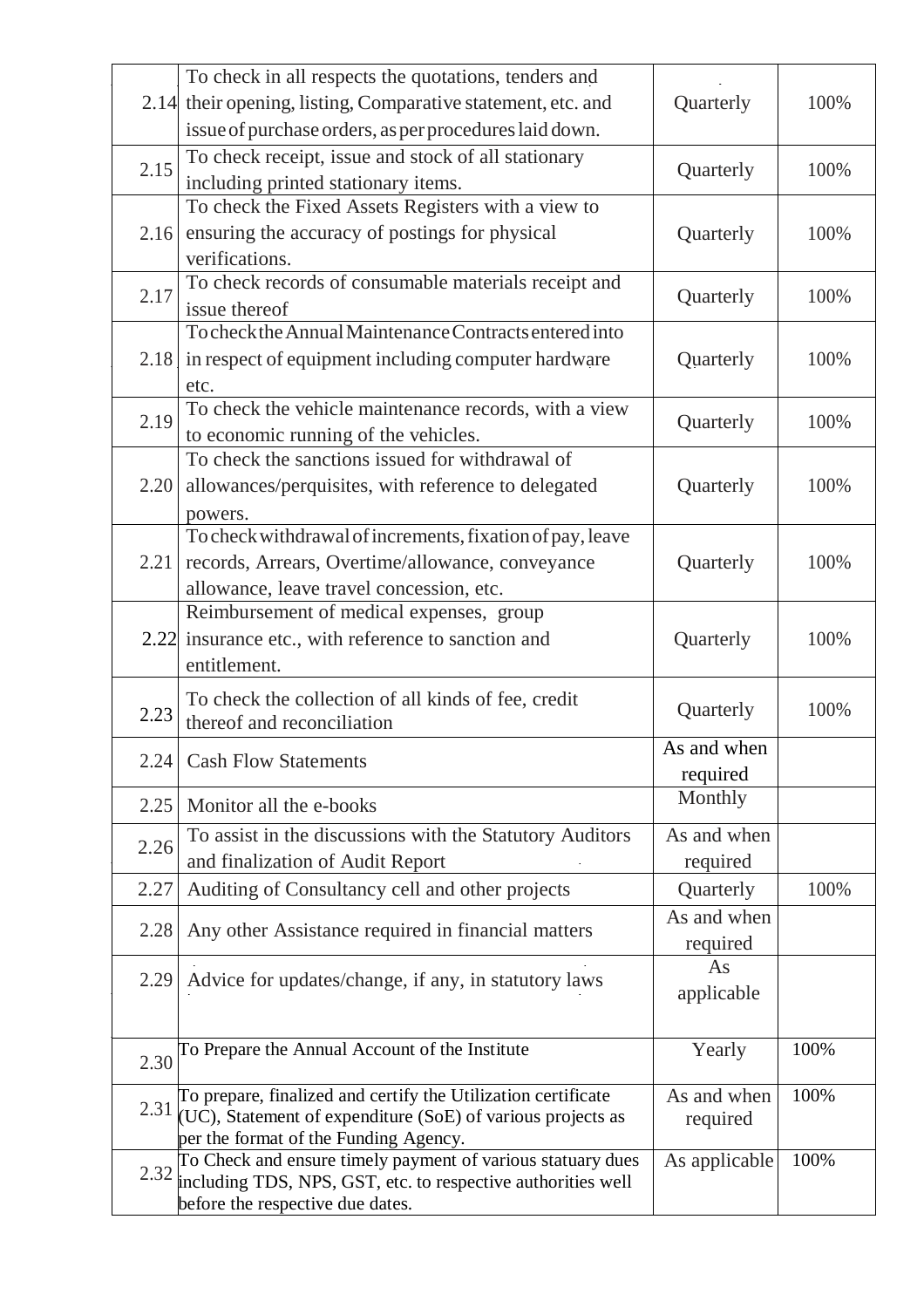|      | To check in all respects the quotations, tenders and                                                                         |               |      |
|------|------------------------------------------------------------------------------------------------------------------------------|---------------|------|
|      | 2.14 their opening, listing, Comparative statement, etc. and                                                                 | Quarterly     | 100% |
|      | issue of purchase orders, as per procedures laid down.                                                                       |               |      |
| 2.15 | To check receipt, issue and stock of all stationary                                                                          | Quarterly     | 100% |
|      | including printed stationary items.                                                                                          |               |      |
|      | To check the Fixed Assets Registers with a view to                                                                           |               |      |
| 2.16 | ensuring the accuracy of postings for physical                                                                               | Quarterly     | 100% |
|      | verifications.                                                                                                               |               |      |
| 2.17 | To check records of consumable materials receipt and                                                                         | Quarterly     | 100% |
|      | issue thereof                                                                                                                |               |      |
|      | To check the Annual Maintenance Contracts entered into                                                                       |               |      |
| 2.18 | in respect of equipment including computer hardware                                                                          | Quarterly     | 100% |
|      | etc.                                                                                                                         |               |      |
| 2.19 | To check the vehicle maintenance records, with a view                                                                        | Quarterly     | 100% |
|      | to economic running of the vehicles.<br>To check the sanctions issued for withdrawal of                                      |               |      |
| 2.20 |                                                                                                                              |               | 100% |
|      | allowances/perquisites, with reference to delegated                                                                          | Quarterly     |      |
|      | powers.<br>To check withdrawal of increments, fixation of pay, leave                                                         |               |      |
| 2.21 | records, Arrears, Overtime/allowance, conveyance                                                                             | Quarterly     | 100% |
|      | allowance, leave travel concession, etc.                                                                                     |               |      |
|      | Reimbursement of medical expenses, group                                                                                     |               |      |
|      | 2.22 insurance etc., with reference to sanction and                                                                          | Quarterly     | 100% |
|      | entitlement.                                                                                                                 |               |      |
|      |                                                                                                                              |               |      |
| 2.23 | To check the collection of all kinds of fee, credit<br>thereof and reconciliation                                            | Quarterly     | 100% |
|      |                                                                                                                              | As and when   |      |
| 2.24 | <b>Cash Flow Statements</b>                                                                                                  | required      |      |
|      |                                                                                                                              | Monthly       |      |
| 2.25 | Monitor all the e-books                                                                                                      |               |      |
| 2.26 | To assist in the discussions with the Statutory Auditors                                                                     | As and when   |      |
|      | and finalization of Audit Report                                                                                             | required      |      |
| 2.27 | Auditing of Consultancy cell and other projects                                                                              | Quarterly     | 100% |
| 2.28 | Any other Assistance required in financial matters                                                                           | As and when   |      |
|      |                                                                                                                              | required      |      |
| 2.29 | Advice for updates/change, if any, in statutory laws                                                                         | As            |      |
|      |                                                                                                                              | applicable    |      |
|      |                                                                                                                              |               |      |
| 2.30 | To Prepare the Annual Account of the Institute                                                                               | Yearly        | 100% |
|      |                                                                                                                              |               |      |
| 2.31 | To prepare, finalized and certify the Utilization certificate<br>(UC), Statement of expenditure (SoE) of various projects as | As and when   | 100% |
|      | per the format of the Funding Agency.                                                                                        | required      |      |
|      | To Check and ensure timely payment of various statuary dues                                                                  | As applicable | 100% |
| 2.32 | including TDS, NPS, GST, etc. to respective authorities well                                                                 |               |      |
|      | before the respective due dates.                                                                                             |               |      |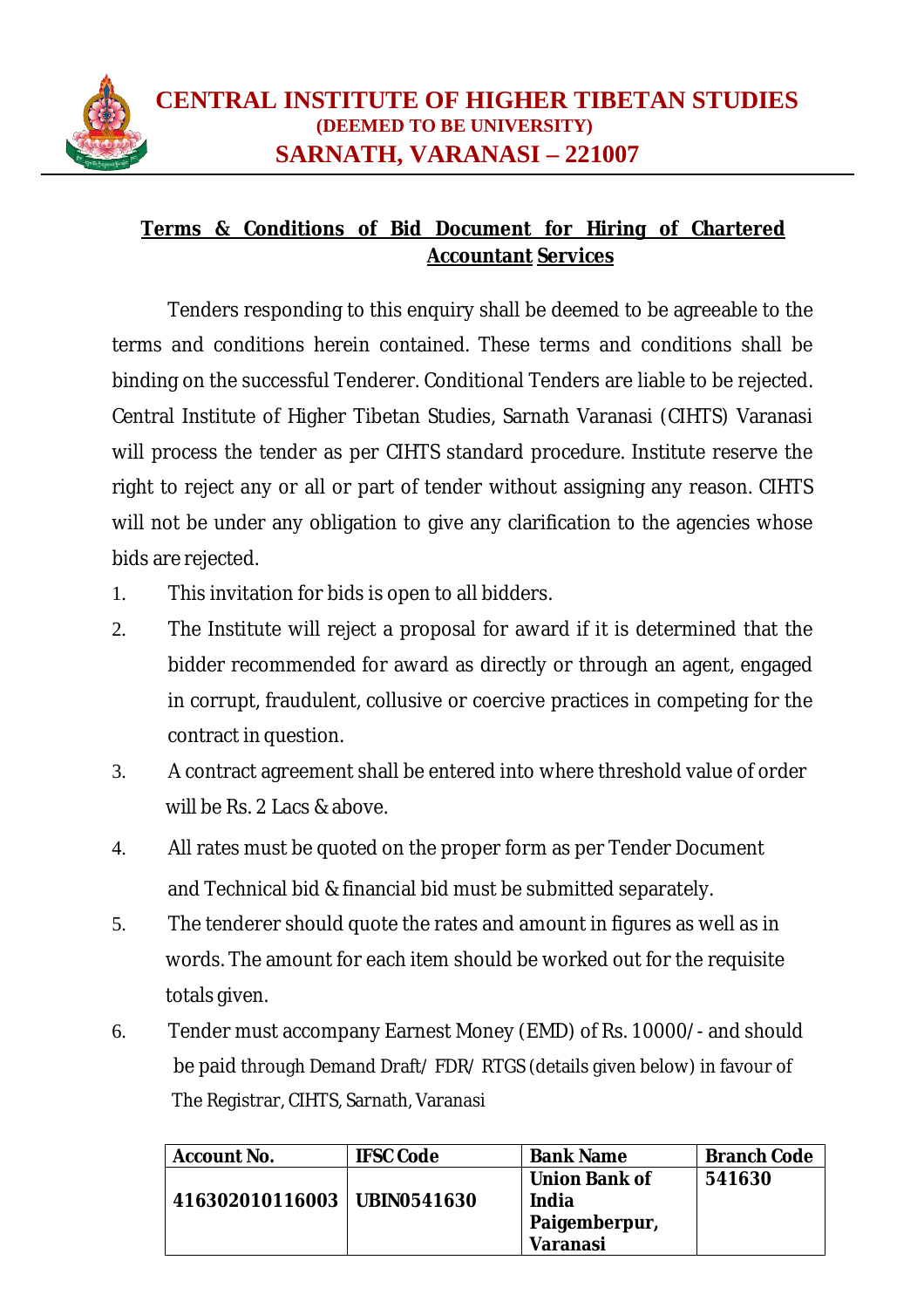

# **Terms & Conditions of Bid Document for Hiring of Chartered Accountant Services**

Tenders responding to this enquiry shall be deemed to be agreeable to the terms and conditions herein contained. These terms and conditions shall be binding on the successful Tenderer. Conditional Tenders are liable to be rejected. Central Institute of Higher Tibetan Studies, Sarnath Varanasi (CIHTS) Varanasi will process the tender as per CIHTS standard procedure. Institute reserve the right to reject any or all or part of tender without assigning any reason. CIHTS will not be under any obligation to give any clarification to the agencies whose bids are rejected.

- 1. This invitation for bids is open to all bidders.
- 2. The Institute will reject a proposal for award if it is determined that the bidder recommended for award as directly or through an agent, engaged in corrupt, fraudulent, collusive or coercive practices in competing for the contract in question.
- 3. A contract agreement shall be entered into where threshold value of order will be Rs. 2 Lacs & above.
- 4. All rates must be quoted on the proper form as per Tender Document and Technical bid & financial bid must be submitted separately.
- 5. The tenderer should quote the rates and amount in figures as well as in words. The amount for each item should be worked out for the requisite totals given.
- 6. Tender must accompany Earnest Money (EMD) of Rs. 10000/- and should be paid through Demand Draft/ FDR/ RTGS (details given below) in favour of The Registrar, CIHTS, Sarnath, Varanasi

| <b>Account No.</b>            | <b>IFSC Code</b> | <b>Bank Name</b>     | <b>Branch Code</b> |
|-------------------------------|------------------|----------------------|--------------------|
|                               |                  | <b>Union Bank of</b> | 541630             |
| 416302010116003   UBIN0541630 |                  | India                |                    |
|                               |                  | Paigemberpur,        |                    |
|                               |                  | Varanasi             |                    |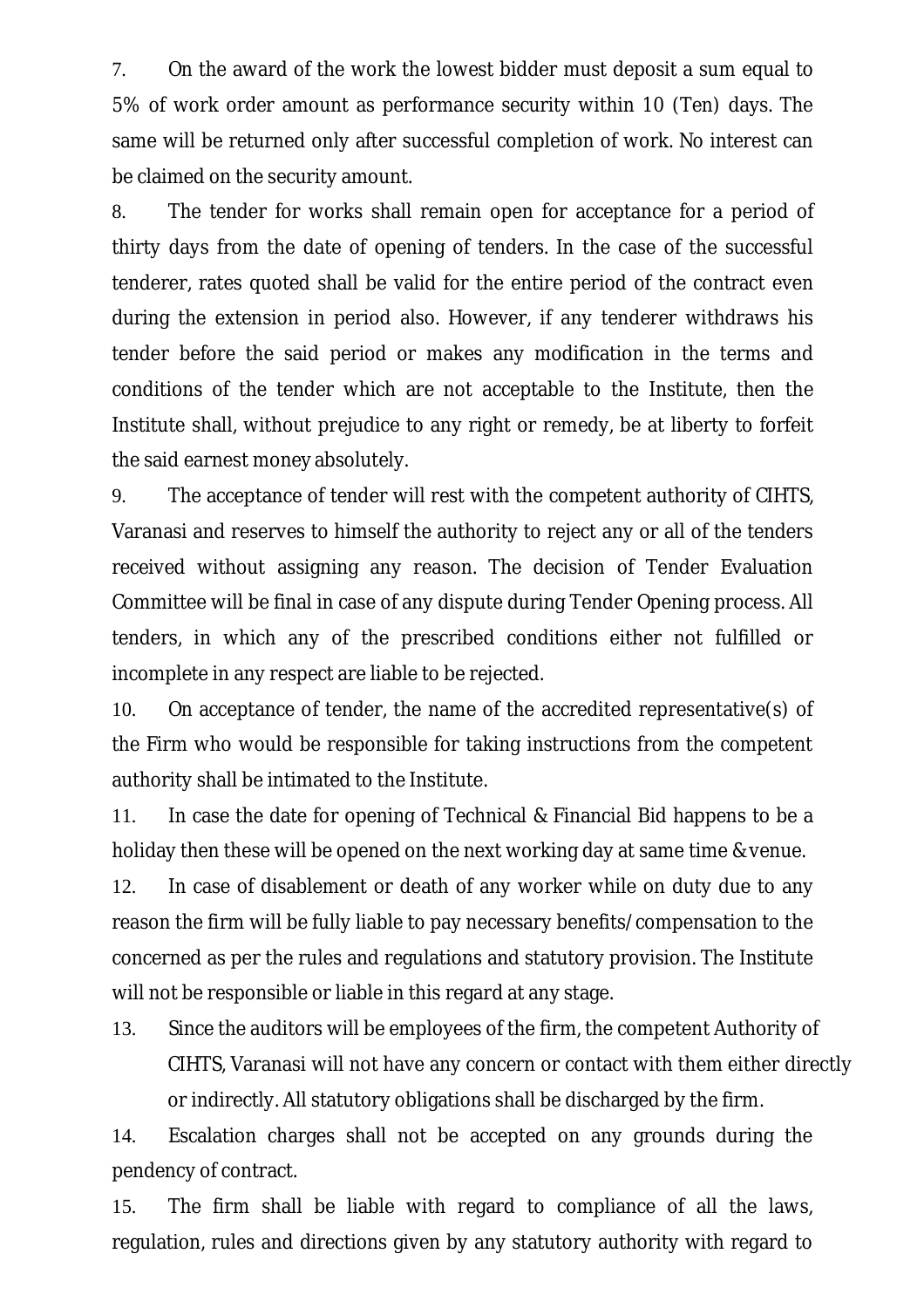7. On the award of the work the lowest bidder must deposit a sum equal to 5% of work order amount as performance security within 10 (Ten) days. The same will be returned only after successful completion of work. No interest can be claimed on the security amount.

8. The tender for works shall remain open for acceptance for a period of thirty days from the date of opening of tenders. In the case of the successful tenderer, rates quoted shall be valid for the entire period of the contract even during the extension in period also. However, if any tenderer withdraws his tender before the said period or makes any modification in the terms and conditions of the tender which are not acceptable to the Institute, then the Institute shall, without prejudice to any right or remedy, be at liberty to forfeit the said earnest money absolutely.

9. The acceptance of tender will rest with the competent authority of CIHTS, Varanasi and reserves to himself the authority to reject any or all of the tenders received without assigning any reason. The decision of Tender Evaluation Committee will be final in case of any dispute during Tender Opening process. All tenders, in which any of the prescribed conditions either not fulfilled or incomplete in any respect are liable to be rejected.

10. On acceptance of tender, the name of the accredited representative(s) of the Firm who would be responsible for taking instructions from the competent authority shall be intimated to the Institute.

11. In case the date for opening of Technical & Financial Bid happens to be a holiday then these will be opened on the next working day at same time & venue.

12. In case of disablement or death of any worker while on duty due to any reason the firm will be fully liable to pay necessary benefits/compensation to the concerned as per the rules and regulations and statutory provision. The Institute will not be responsible or liable in this regard at any stage.

13. Since the auditors will be employees of the firm, the competent Authority of CIHTS, Varanasi will not have any concern or contact with them either directly or indirectly. All statutory obligations shall be discharged by the firm.

14. Escalation charges shall not be accepted on any grounds during the pendency of contract.

15. The firm shall be liable with regard to compliance of all the laws, regulation, rules and directions given by any statutory authority with regard to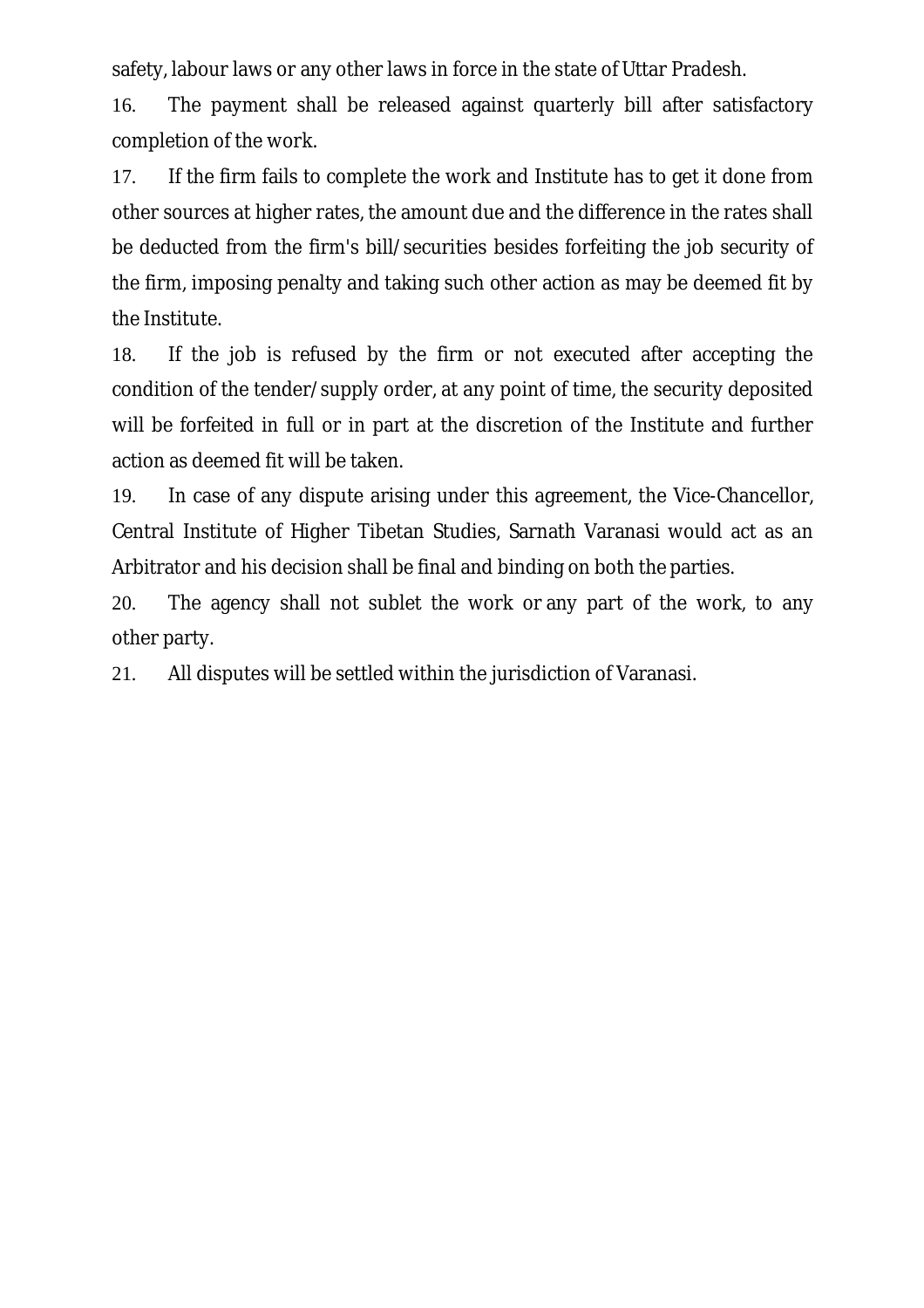safety, labour laws or any other laws in force in the state of Uttar Pradesh.

16. The payment shall be released against quarterly bill after satisfactory completion of the work.

17. If the firm fails to complete the work and Institute has to get it done from other sources at higher rates, the amount due and the difference in the rates shall be deducted from the firm's bill/securities besides forfeiting the job security of the firm, imposing penalty and taking such other action as may be deemed fit by the Institute.

18. If the job is refused by the firm or not executed after accepting the condition of the tender/supply order, at any point of time, the security deposited will be forfeited in full or in part at the discretion of the Institute and further action as deemed fit will be taken.

19. In case of any dispute arising under this agreement, the Vice-Chancellor, Central Institute of Higher Tibetan Studies, Sarnath Varanasi would act as an Arbitrator and his decision shall be final and binding on both the parties.

20. The agency shall not sublet the work or any part of the work, to any other party.

21. All disputes will be settled within the jurisdiction of Varanasi.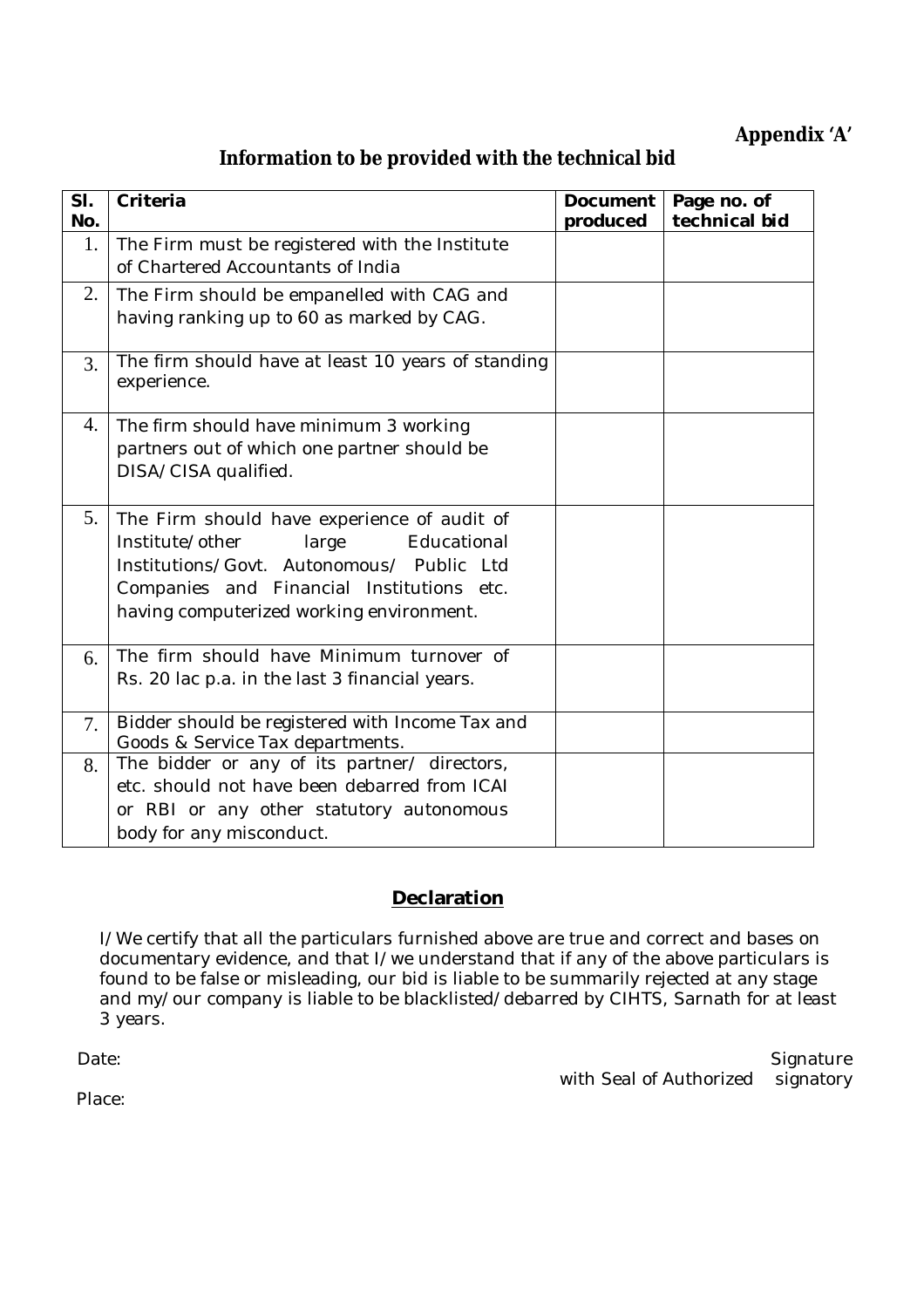# **Appendix 'A'**

# **Information to be provided with the technical bid**

| SI.<br>No. | Criteria                                                                                                                                                                                                                     | Document<br>produced | Page no. of<br>technical bid |
|------------|------------------------------------------------------------------------------------------------------------------------------------------------------------------------------------------------------------------------------|----------------------|------------------------------|
| 1.         | The Firm must be registered with the Institute<br>of Chartered Accountants of India                                                                                                                                          |                      |                              |
| 2.         | The Firm should be empanelled with CAG and<br>having ranking up to 60 as marked by CAG.                                                                                                                                      |                      |                              |
| 3.         | The firm should have at least 10 years of standing<br>experience.                                                                                                                                                            |                      |                              |
| 4.         | The firm should have minimum 3 working<br>partners out of which one partner should be<br>DISA/CISA qualified.                                                                                                                |                      |                              |
| 5.         | The Firm should have experience of audit of<br>Institute/other<br>large<br>Educational<br>Institutions/Govt. Autonomous/ Public Ltd<br>Companies and Financial Institutions etc.<br>having computerized working environment. |                      |                              |
| 6.         | The firm should have Minimum turnover of<br>Rs. 20 lac p.a. in the last 3 financial years.                                                                                                                                   |                      |                              |
| 7.         | Bidder should be registered with Income Tax and<br>Goods & Service Tax departments.                                                                                                                                          |                      |                              |
| 8.         | The bidder or any of its partner/ directors,<br>etc. should not have been debarred from ICAI<br>or RBI or any other statutory autonomous<br>body for any misconduct.                                                         |                      |                              |

## **Declaration**

I/We certify that all the particulars furnished above are true and correct and bases on documentary evidence, and that I/we understand that if any of the above particulars is found to be false or misleading, our bid is liable to be summarily rejected at any stage and my/our company is liable to be blacklisted/debarred by CIHTS, Sarnath for at least 3 years.

 Date: Signature with Seal of Authorized signatory

Place: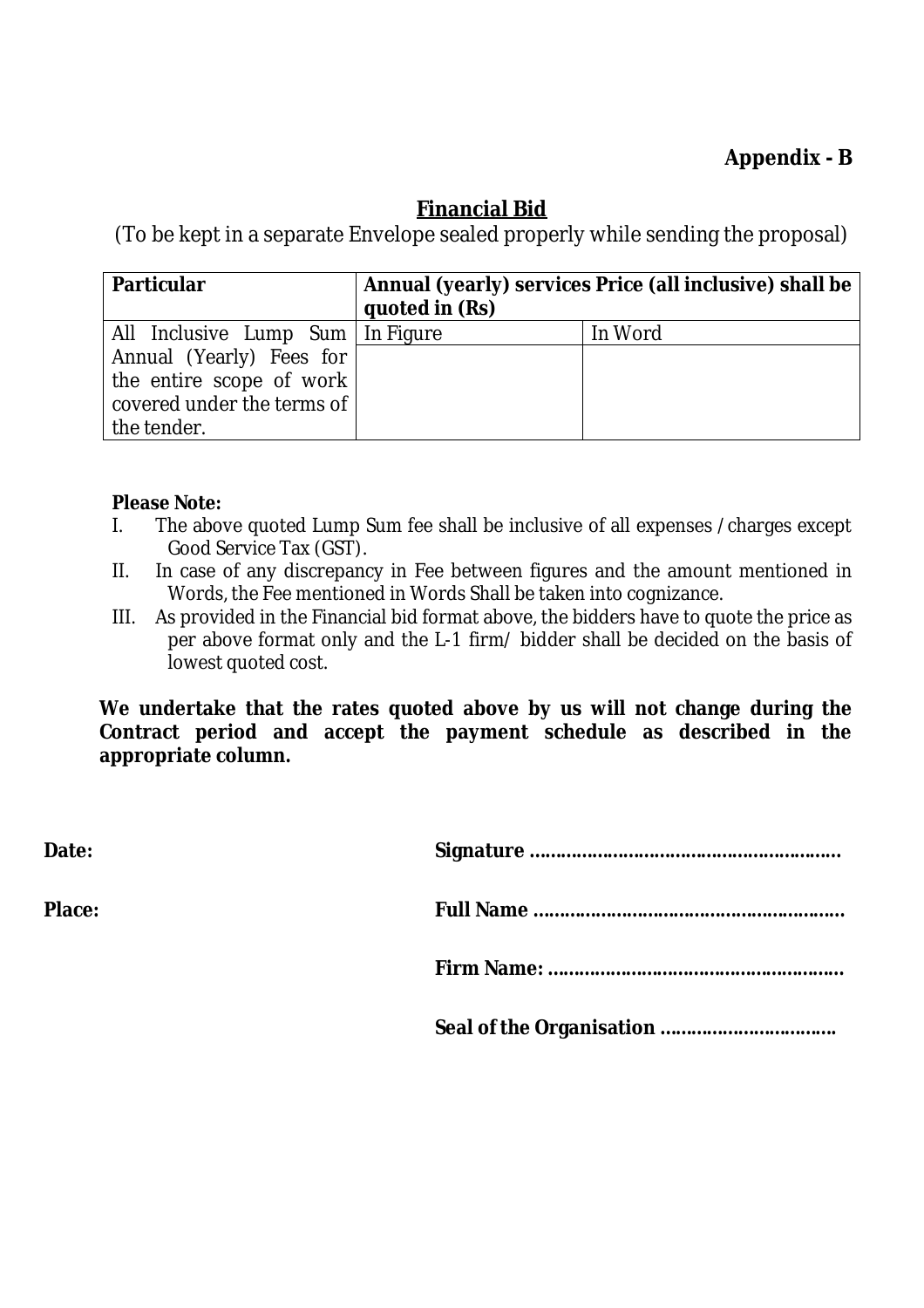# **Appendix - B**

# **Financial Bid**

(To be kept in a separate Envelope sealed properly while sending the proposal)

| <b>Particular</b>                  | quoted in (Rs) | Annual (yearly) services Price (all inclusive) shall be |
|------------------------------------|----------------|---------------------------------------------------------|
| All Inclusive Lump Sum   In Figure |                | In Word                                                 |
| Annual (Yearly) Fees for           |                |                                                         |
| the entire scope of work           |                |                                                         |
| covered under the terms of         |                |                                                         |
| the tender.                        |                |                                                         |

#### **Please Note:**

- I. The above quoted Lump Sum fee shall be inclusive of all expenses /charges except Good Service Tax (GST).
- II. In case of any discrepancy in Fee between figures and the amount mentioned in Words, the Fee mentioned in Words Shall be taken into cognizance.
- III. As provided in the Financial bid format above, the bidders have to quote the price as per above format only and the L-1 firm/ bidder shall be decided on the basis of lowest quoted cost.

**We undertake that the rates quoted above by us will not change during the Contract period and accept the payment schedule as described in the appropriate column.**

| Date:  |  |
|--------|--|
| Place: |  |
|        |  |
|        |  |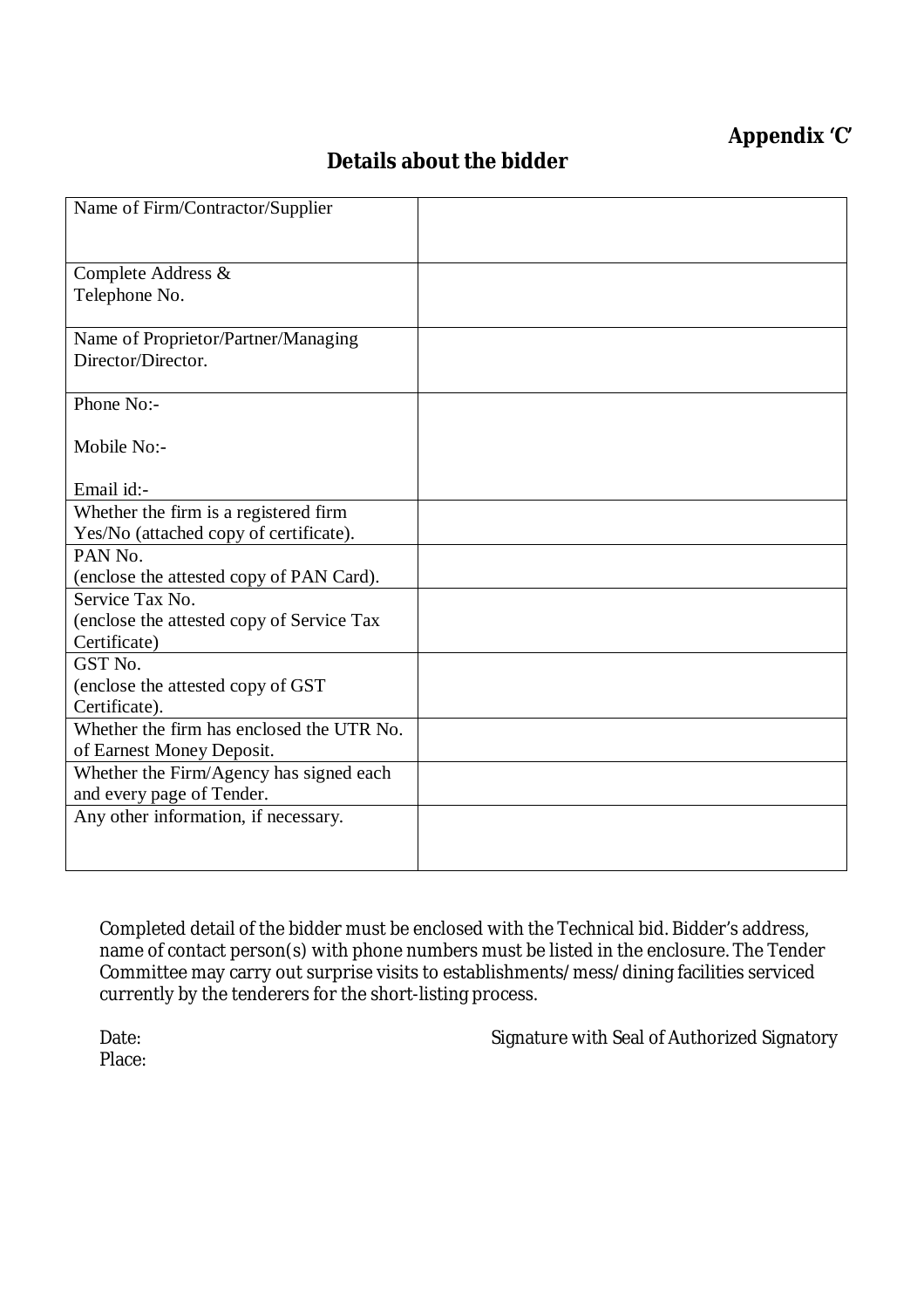# **Appendix 'C'**

# **Details about the bidder**

| Name of Firm/Contractor/Supplier          |  |
|-------------------------------------------|--|
| Complete Address &                        |  |
| Telephone No.                             |  |
| Name of Proprietor/Partner/Managing       |  |
| Director/Director.                        |  |
| Phone No:-                                |  |
| Mobile No:-                               |  |
| Email id:-                                |  |
| Whether the firm is a registered firm     |  |
| Yes/No (attached copy of certificate).    |  |
| PAN No.                                   |  |
| (enclose the attested copy of PAN Card).  |  |
| Service Tax No.                           |  |
| (enclose the attested copy of Service Tax |  |
| Certificate)                              |  |
| GST No.                                   |  |
| (enclose the attested copy of GST)        |  |
| Certificate).                             |  |
| Whether the firm has enclosed the UTR No. |  |
| of Earnest Money Deposit.                 |  |
| Whether the Firm/Agency has signed each   |  |
| and every page of Tender.                 |  |
| Any other information, if necessary.      |  |
|                                           |  |
|                                           |  |

Completed detail of the bidder must be enclosed with the Technical bid. Bidder's address, name of contact person(s) with phone numbers must be listed in the enclosure. The Tender Committee may carry out surprise visits to establishments/mess/dining facilities serviced currently by the tenderers for the short-listing process.

Place:

Date: Case of Authorized Signature with Seal of Authorized Signatory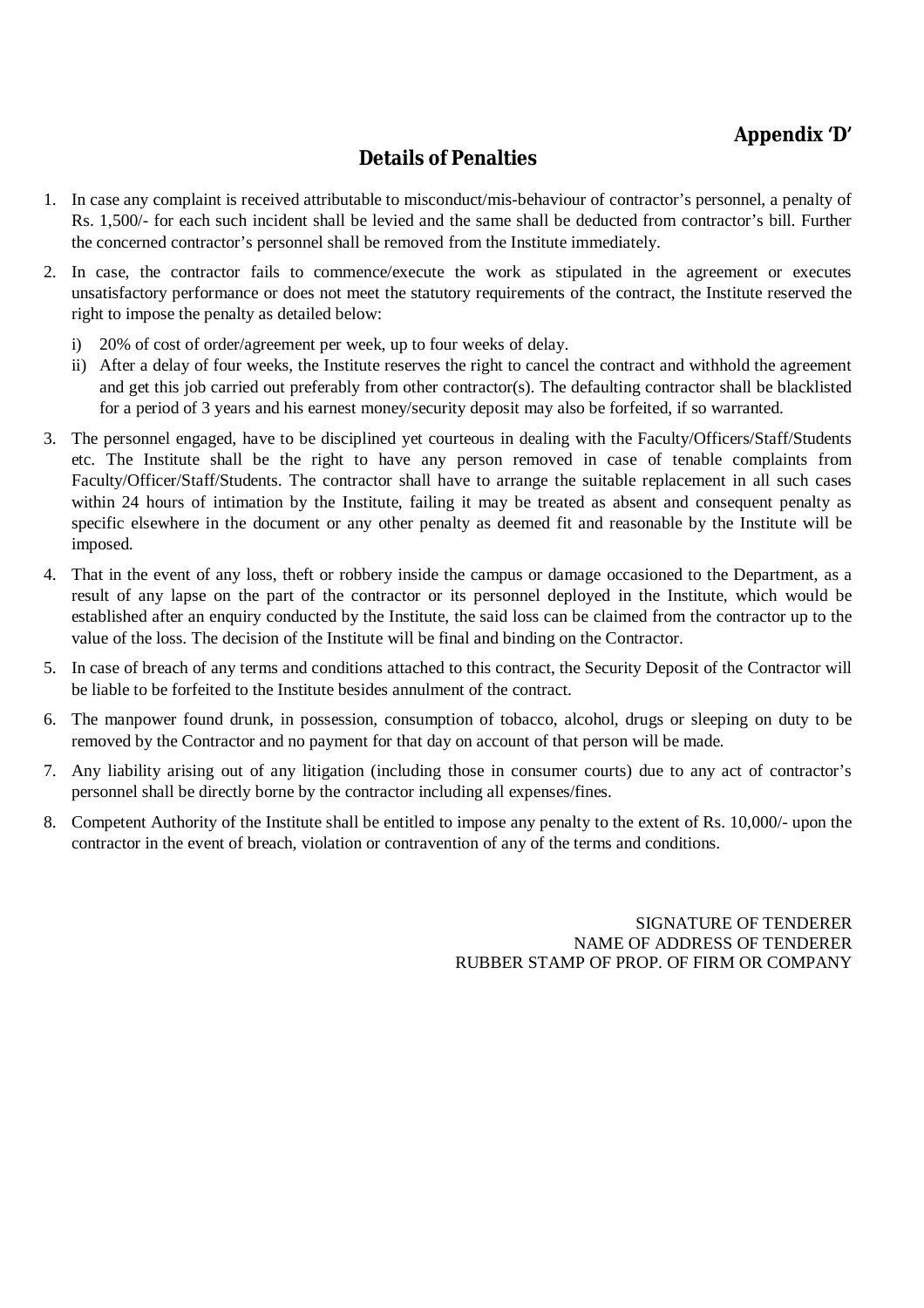# **Details of Penalties**

- 1. In case any complaint is received attributable to misconduct/mis-behaviour of contractor's personnel, a penalty of Rs. 1,500/- for each such incident shall be levied and the same shall be deducted from contractor's bill. Further the concerned contractor's personnel shall be removed from the Institute immediately.
- 2. In case, the contractor fails to commence/execute the work as stipulated in the agreement or executes unsatisfactory performance or does not meet the statutory requirements of the contract, the Institute reserved the right to impose the penalty as detailed below:
	- i) 20% of cost of order/agreement per week, up to four weeks of delay.
	- ii) After a delay of four weeks, the Institute reserves the right to cancel the contract and withhold the agreement and get this job carried out preferably from other contractor(s). The defaulting contractor shall be blacklisted for a period of 3 years and his earnest money/security deposit may also be forfeited, if so warranted.
- 3. The personnel engaged, have to be disciplined yet courteous in dealing with the Faculty/Officers/Staff/Students etc. The Institute shall be the right to have any person removed in case of tenable complaints from Faculty/Officer/Staff/Students. The contractor shall have to arrange the suitable replacement in all such cases within 24 hours of intimation by the Institute, failing it may be treated as absent and consequent penalty as specific elsewhere in the document or any other penalty as deemed fit and reasonable by the Institute will be imposed.
- 4. That in the event of any loss, theft or robbery inside the campus or damage occasioned to the Department, as a result of any lapse on the part of the contractor or its personnel deployed in the Institute, which would be established after an enquiry conducted by the Institute, the said loss can be claimed from the contractor up to the value of the loss. The decision of the Institute will be final and binding on the Contractor.
- 5. In case of breach of any terms and conditions attached to this contract, the Security Deposit of the Contractor will be liable to be forfeited to the Institute besides annulment of the contract.
- 6. The manpower found drunk, in possession, consumption of tobacco, alcohol, drugs or sleeping on duty to be removed by the Contractor and no payment for that day on account of that person will be made.
- 7. Any liability arising out of any litigation (including those in consumer courts) due to any act of contractor's personnel shall be directly borne by the contractor including all expenses/fines.
- 8. Competent Authority of the Institute shall be entitled to impose any penalty to the extent of Rs. 10,000/- upon the contractor in the event of breach, violation or contravention of any of the terms and conditions.

SIGNATURE OF TENDERER NAME OF ADDRESS OF TENDERER RUBBER STAMP OF PROP. OF FIRM OR COMPANY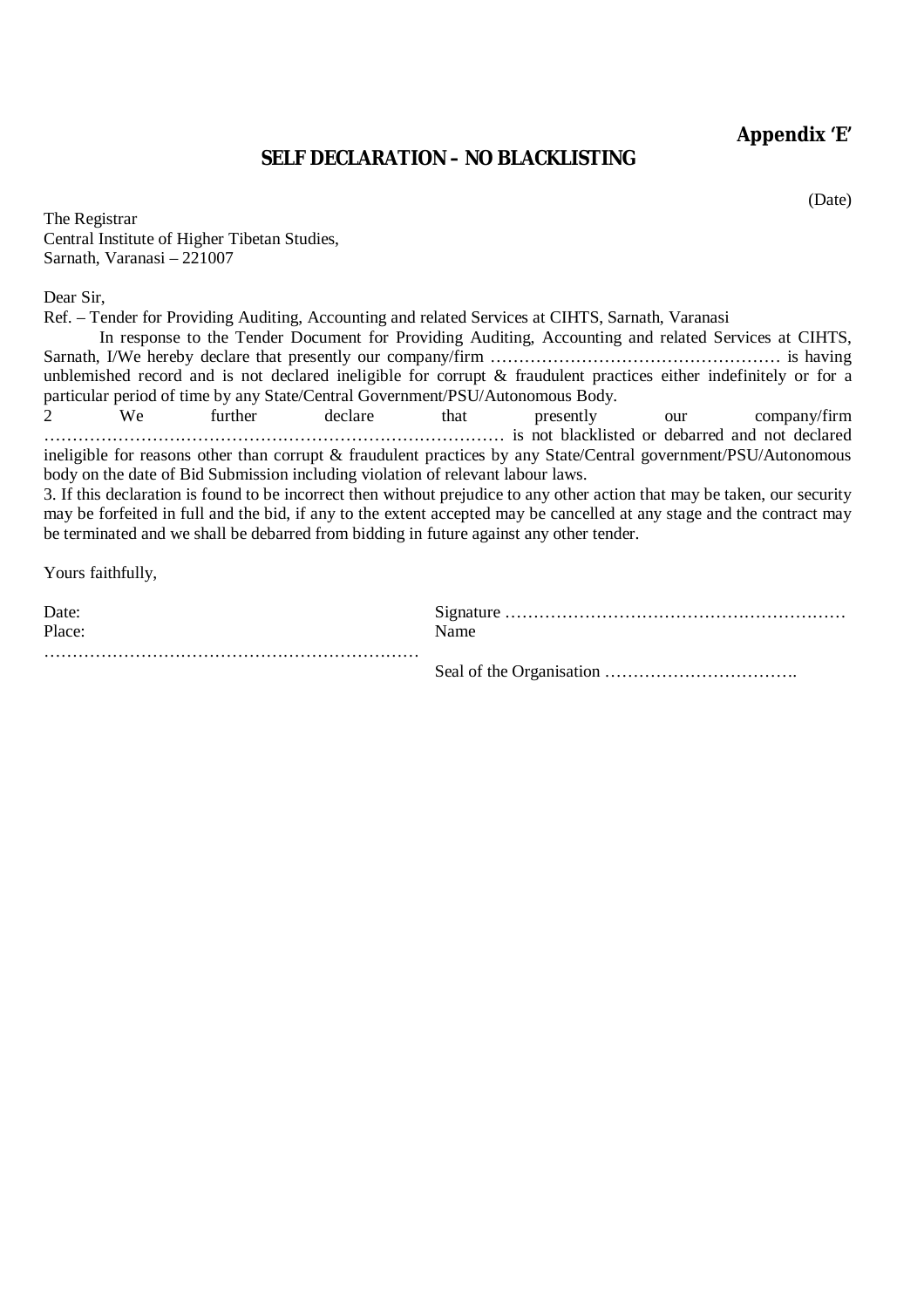**Appendix 'E'**

## **SELF DECLARATION – NO BLACKLISTING**

(Date)

| The Registrar                                |
|----------------------------------------------|
| Central Institute of Higher Tibetan Studies, |
| Sarnath, Varanasi - 221007                   |

Dear Sir,

Ref. – Tender for Providing Auditing, Accounting and related Services at CIHTS, Sarnath, Varanasi In response to the Tender Document for Providing Auditing, Accounting and related Services at CIHTS, Sarnath, I/We hereby declare that presently our company/firm …………………………………………………… is having unblemished record and is not declared ineligible for corrupt & fraudulent practices either indefinitely or for a particular period of time by any State/Central Government/PSU/Autonomous Body. 2 We further declare that presently our company/firm ……………………………………………………………………… is not blacklisted or debarred and not declared ineligible for reasons other than corrupt & fraudulent practices by any State/Central government/PSU/Autonomous body on the date of Bid Submission including violation of relevant labour laws.

3. If this declaration is found to be incorrect then without prejudice to any other action that may be taken, our security may be forfeited in full and the bid, if any to the extent accepted may be cancelled at any stage and the contract may be terminated and we shall be debarred from bidding in future against any other tender.

Yours faithfully,

| Date:<br>Place: | Name |
|-----------------|------|
|                 |      |
|                 |      |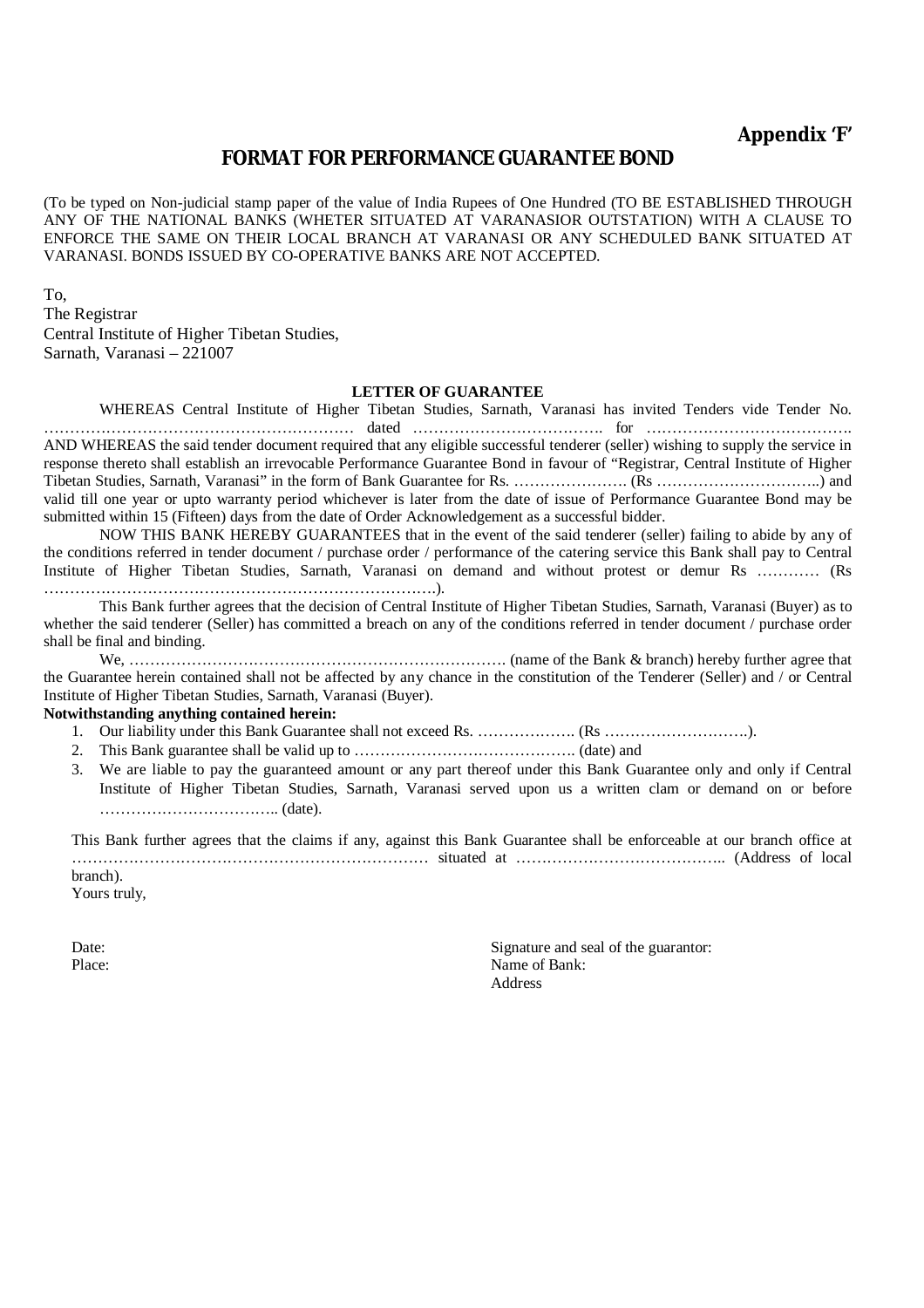#### **FORMAT FOR PERFORMANCE GUARANTEE BOND**

(To be typed on Non-judicial stamp paper of the value of India Rupees of One Hundred (TO BE ESTABLISHED THROUGH ANY OF THE NATIONAL BANKS (WHETER SITUATED AT VARANASIOR OUTSTATION) WITH A CLAUSE TO ENFORCE THE SAME ON THEIR LOCAL BRANCH AT VARANASI OR ANY SCHEDULED BANK SITUATED AT VARANASI. BONDS ISSUED BY CO-OPERATIVE BANKS ARE NOT ACCEPTED.

To, The Registrar Central Institute of Higher Tibetan Studies, Sarnath, Varanasi – 221007

#### **LETTER OF GUARANTEE**

WHEREAS Central Institute of Higher Tibetan Studies, Sarnath, Varanasi has invited Tenders vide Tender No. …………………………………………………… dated ………………………………. for …………………………………. AND WHEREAS the said tender document required that any eligible successful tenderer (seller) wishing to supply the service in response thereto shall establish an irrevocable Performance Guarantee Bond in favour of "Registrar, Central Institute of Higher Tibetan Studies, Sarnath, Varanasi" in the form of Bank Guarantee for Rs. …………………. (Rs …………………………..) and valid till one year or upto warranty period whichever is later from the date of issue of Performance Guarantee Bond may be submitted within 15 (Fifteen) days from the date of Order Acknowledgement as a successful bidder.

NOW THIS BANK HEREBY GUARANTEES that in the event of the said tenderer (seller) failing to abide by any of the conditions referred in tender document / purchase order / performance of the catering service this Bank shall pay to Central Institute of Higher Tibetan Studies, Sarnath, Varanasi on demand and without protest or demur Rs ............ (Rs ………………………………………………………………….).

This Bank further agrees that the decision of Central Institute of Higher Tibetan Studies, Sarnath, Varanasi (Buyer) as to whether the said tenderer (Seller) has committed a breach on any of the conditions referred in tender document / purchase order shall be final and binding.

We, ………………………………………………………………. (name of the Bank & branch) hereby further agree that the Guarantee herein contained shall not be affected by any chance in the constitution of the Tenderer (Seller) and / or Central Institute of Higher Tibetan Studies, Sarnath, Varanasi (Buyer).

#### **Notwithstanding anything contained herein:**

- 1. Our liability under this Bank Guarantee shall not exceed Rs. ………………. (Rs ……………………….).
- 2. This Bank guarantee shall be valid up to ……………………………………. (date) and
- 3. We are liable to pay the guaranteed amount or any part thereof under this Bank Guarantee only and only if Central Institute of Higher Tibetan Studies, Sarnath, Varanasi served upon us a written clam or demand on or before …………………………….. (date).

This Bank further agrees that the claims if any, against this Bank Guarantee shall be enforceable at our branch office at …………………………………………………………… situated at ………………………………….. (Address of local branch). Yours truly,

Date: Signature and seal of the guarantor: Place: Name of Bank: Address